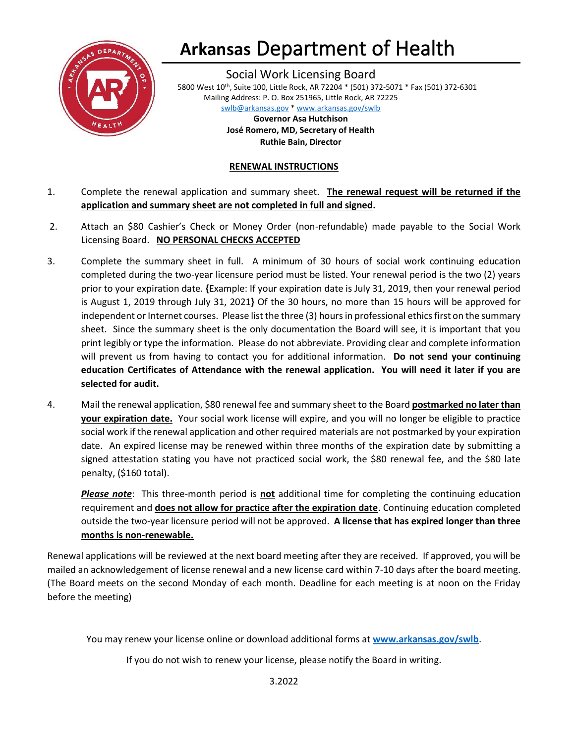

## **Arkansas** Department of Health

Social Work Licensing Board 5800 West 10th, Suite 100, Little Rock, AR 72204 \* (501) 372-5071 \* Fax (501) 372-6301 Mailing Address: P. O. Box 251965, Little Rock, AR 72225 [swlb@arkansas.gov](mailto:swlb@arkansas.gov) \* [www.arkansas.gov/swlb](https://www.healthy.arkansas.gov/programs-services/topics/arkansas-social-work-licensing-board)

> **Governor Asa Hutchison José Romero, MD, Secretary of Health Ruthie Bain, Director**

#### **RENEWAL INSTRUCTIONS**

- 1. Complete the renewal application and summary sheet. **The renewal request will be returned if the application and summary sheet are not completed in full and signed.**
- 2. Attach an \$80 Cashier's Check or Money Order (non-refundable) made payable to the Social Work Licensing Board. **NO PERSONAL CHECKS ACCEPTED**
- 3. Complete the summary sheet in full. A minimum of 30 hours of social work continuing education completed during the two-year licensure period must be listed. Your renewal period is the two (2) years prior to your expiration date. **{**Example: If your expiration date is July 31, 2019, then your renewal period is August 1, 2019 through July 31, 2021**}** Of the 30 hours, no more than 15 hours will be approved for independent or Internet courses. Please list the three (3) hours in professional ethics first on the summary sheet. Since the summary sheet is the only documentation the Board will see, it is important that you print legibly or type the information. Please do not abbreviate. Providing clear and complete information will prevent us from having to contact you for additional information. **Do not send your continuing education Certificates of Attendance with the renewal application. You will need it later if you are selected for audit.**
- 4. Mail the renewal application, \$80 renewal fee and summary sheet to the Board **postmarked no later than your expiration date.** Your social work license will expire, and you will no longer be eligible to practice social work if the renewal application and other required materials are not postmarked by your expiration date. An expired license may be renewed within three months of the expiration date by submitting a signed attestation stating you have not practiced social work, the \$80 renewal fee, and the \$80 late penalty, (\$160 total).

*Please note*: This three-month period is **not** additional time for completing the continuing education requirement and **does not allow for practice after the expiration date**. Continuing education completed outside the two-year licensure period will not be approved. **A license that has expired longer than three months is non-renewable.**

Renewal applications will be reviewed at the next board meeting after they are received. If approved, you will be mailed an acknowledgement of license renewal and a new license card within 7-10 days after the board meeting. (The Board meets on the second Monday of each month. Deadline for each meeting is at noon on the Friday before the meeting)

You may renew your license online or download additional forms at **[www.arkansas.gov/swlb](https://www.healthy.arkansas.gov/programs-services/topics/arkansas-social-work-licensing-board)**.

If you do not wish to renew your license, please notify the Board in writing.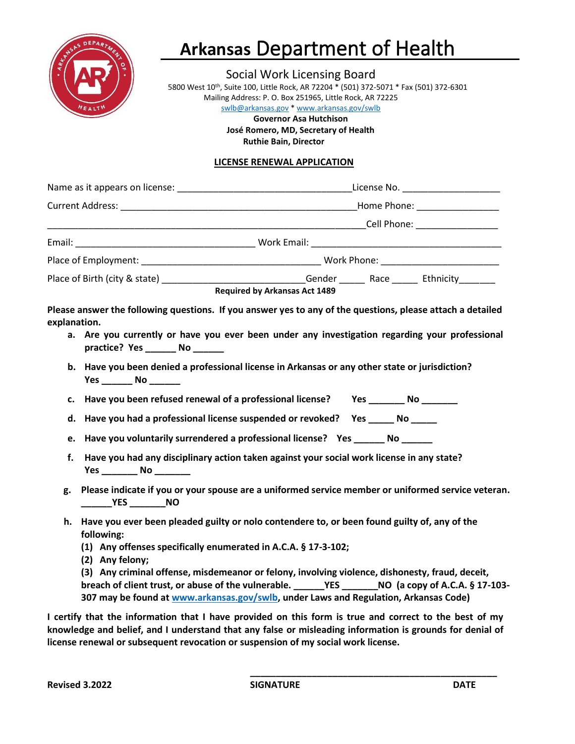

## **Arkansas** Department of Health

Social Work Licensing Board

5800 West 10th, Suite 100, Little Rock, AR 72204 \* (501) 372-5071 \* Fax (501) 372-6301 Mailing Address: P. O. Box 251965, Little Rock, AR 72225

[swlb@arkansas.gov](mailto:swlb@arkansas.gov) [\\* www.arkansas.gov/swlb](https://www.healthy.arkansas.gov/programs-services/topics/arkansas-social-work-licensing-board) **Governor Asa Hutchison José Romero, MD, Secretary of Health Ruthie Bain, Director**

### **LICENSE RENEWAL APPLICATION**

|    |                                                                                                                                                   | Current Address: No. 2016. The Contract of the Contract of the Contract of Tennes Address: No. 2016. The Contract of Tennes Address: No. 2016. The Contract of the Contract of Tennes Address: No. 2016. The Contract of the C |  |  |
|----|---------------------------------------------------------------------------------------------------------------------------------------------------|--------------------------------------------------------------------------------------------------------------------------------------------------------------------------------------------------------------------------------|--|--|
|    |                                                                                                                                                   |                                                                                                                                                                                                                                |  |  |
|    |                                                                                                                                                   |                                                                                                                                                                                                                                |  |  |
|    |                                                                                                                                                   |                                                                                                                                                                                                                                |  |  |
|    | Place of Birth (city & state) ____________________________Gender _________Race ________Ethnicity_________<br><b>Required by Arkansas Act 1489</b> |                                                                                                                                                                                                                                |  |  |
|    | Please answer the following questions. If you answer yes to any of the questions, please attach a detailed<br>explanation.                        |                                                                                                                                                                                                                                |  |  |
|    | a. Are you currently or have you ever been under any investigation regarding your professional<br>practice? Yes No                                |                                                                                                                                                                                                                                |  |  |
|    | b. Have you been denied a professional license in Arkansas or any other state or jurisdiction?                                                    |                                                                                                                                                                                                                                |  |  |
| c. | Have you been refused renewal of a professional license? Yes __________ No ________                                                               |                                                                                                                                                                                                                                |  |  |
| d. | Have you had a professional license suspended or revoked? Yes ______ No _____                                                                     |                                                                                                                                                                                                                                |  |  |
| e. | Have you voluntarily surrendered a professional license? Yes _______ No ______                                                                    |                                                                                                                                                                                                                                |  |  |
| f. | Have you had any disciplinary action taken against your social work license in any state?<br>Yes No                                               |                                                                                                                                                                                                                                |  |  |
| g. | Please indicate if you or your spouse are a uniformed service member or uniformed service veteran.                                                |                                                                                                                                                                                                                                |  |  |
| h. | Have you ever been pleaded guilty or nolo contendere to, or been found guilty of, any of the<br>following:                                        |                                                                                                                                                                                                                                |  |  |
|    | (1) Any offenses specifically enumerated in A.C.A. § 17-3-102;                                                                                    |                                                                                                                                                                                                                                |  |  |
|    | (2) Any felony;<br>(3) Any criminal offense, misdemeanor or felony, involving violence, dishonesty, fraud, deceit,                                |                                                                                                                                                                                                                                |  |  |
|    | 307 may be found at www.arkansas.gov/swlb, under Laws and Regulation, Arkansas Code)                                                              |                                                                                                                                                                                                                                |  |  |

**I certify that the information that I have provided on this form is true and correct to the best of my knowledge and belief, and I understand that any false or misleading information is grounds for denial of license renewal or subsequent revocation or suspension of my social work license.**

**\_\_\_\_\_\_\_\_\_\_\_\_\_\_\_\_\_\_\_\_\_\_\_\_\_\_\_\_\_\_\_\_\_\_\_\_\_\_\_\_\_\_\_\_\_\_\_\_**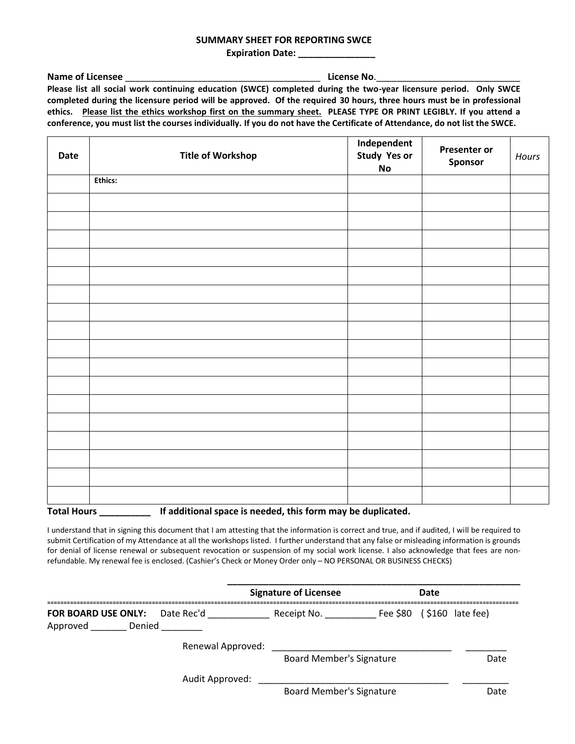#### **SUMMARY SHEET FOR REPORTING SWCE**

**Expiration Date:** \_\_\_\_\_\_\_\_\_\_\_\_\_

**Name of Licensee** \_\_\_\_\_\_\_\_\_\_\_\_\_\_\_\_\_\_\_\_\_\_\_\_\_\_\_\_\_\_\_\_\_\_\_\_\_\_ **License No**.\_\_\_\_\_\_\_\_\_\_\_\_\_\_\_\_\_\_\_\_\_\_\_\_\_\_\_\_ **Please list all social work continuing education (SWCE) completed during the two-year licensure period. Only SWCE completed during the licensure period will be approved. Of the required 30 hours, three hours must be in professional ethics. Please list the ethics workshop first on the summary sheet. PLEASE TYPE OR PRINT LEGIBLY. If you attend a conference, you must list the courses individually. If you do not have the Certificate of Attendance, do not list the SWCE.**

| <b>Date</b>                                                                       | <b>Title of Workshop</b> | Independent<br>Study Yes or<br>$\mathsf{No}$ | <b>Presenter or</b><br>Sponsor | Hours |  |
|-----------------------------------------------------------------------------------|--------------------------|----------------------------------------------|--------------------------------|-------|--|
|                                                                                   | <b>Ethics:</b>           |                                              |                                |       |  |
|                                                                                   |                          |                                              |                                |       |  |
|                                                                                   |                          |                                              |                                |       |  |
|                                                                                   |                          |                                              |                                |       |  |
|                                                                                   |                          |                                              |                                |       |  |
|                                                                                   |                          |                                              |                                |       |  |
|                                                                                   |                          |                                              |                                |       |  |
|                                                                                   |                          |                                              |                                |       |  |
|                                                                                   |                          |                                              |                                |       |  |
|                                                                                   |                          |                                              |                                |       |  |
|                                                                                   |                          |                                              |                                |       |  |
|                                                                                   |                          |                                              |                                |       |  |
|                                                                                   |                          |                                              |                                |       |  |
|                                                                                   |                          |                                              |                                |       |  |
|                                                                                   |                          |                                              |                                |       |  |
|                                                                                   |                          |                                              |                                |       |  |
|                                                                                   |                          |                                              |                                |       |  |
|                                                                                   |                          |                                              |                                |       |  |
| <b>Total Hours</b><br>If additional space is needed, this form may be duplicated. |                          |                                              |                                |       |  |

I understand that in signing this document that I am attesting that the information is correct and true, and if audited, I will be required to submit Certification of my Attendance at all the workshops listed. I further understand that any false or misleading information is grounds for denial of license renewal or subsequent revocation or suspension of my social work license. I also acknowledge that fees are nonrefundable. My renewal fee is enclosed. (Cashier's Check or Money Order only – NO PERSONAL OR BUSINESS CHECKS)

|                                                          |                   | <b>Signature of Licensee</b>    | Date |                              |
|----------------------------------------------------------|-------------------|---------------------------------|------|------------------------------|
| <b>FOR BOARD USE ONLY:</b> Date Rec'd<br>Approved Denied |                   | Receipt No.                     |      | Fee $$80$ ( $$160$ late fee) |
|                                                          | Renewal Approved: | <b>Board Member's Signature</b> |      | Date                         |
|                                                          | Audit Approved:   | <b>Board Member's Signature</b> |      | Date                         |